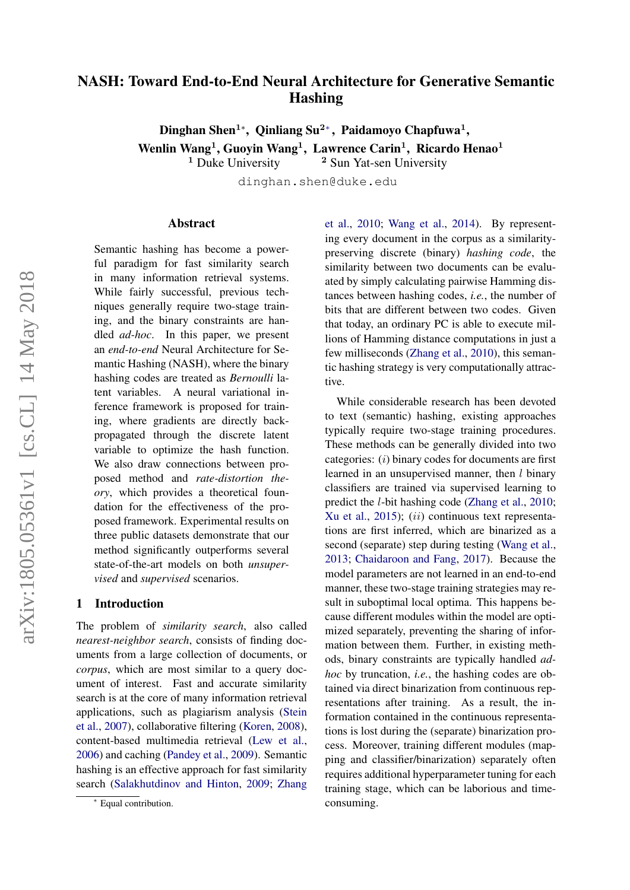# NASH: Toward End-to-End Neural Architecture for Generative Semantic Hashing

Dinghan Shen<sup>1</sup>\*, Qinliang Su<sup>2</sup>\*, Paidamoyo Chapfuwa<sup>1</sup>, Wenlin Wang<sup>1</sup>, Guoyin Wang<sup>1</sup>, Lawrence Carin<sup>1</sup>, Ricardo Henao<sup>1</sup>

 $1$  Duke University  $2$  Sun Yat-sen University

dinghan.shen@duke.edu

#### Abstract

Semantic hashing has become a powerful paradigm for fast similarity search in many information retrieval systems. While fairly successful, previous techniques generally require two-stage training, and the binary constraints are handled *ad-hoc*. In this paper, we present an *end-to-end* Neural Architecture for Semantic Hashing (NASH), where the binary hashing codes are treated as *Bernoulli* latent variables. A neural variational inference framework is proposed for training, where gradients are directly backpropagated through the discrete latent variable to optimize the hash function. We also draw connections between proposed method and *rate-distortion theory*, which provides a theoretical foundation for the effectiveness of the proposed framework. Experimental results on three public datasets demonstrate that our method significantly outperforms several state-of-the-art models on both *unsupervised* and *supervised* scenarios.

#### 1 Introduction

The problem of *similarity search*, also called *nearest-neighbor search*, consists of finding documents from a large collection of documents, or *corpus*, which are most similar to a query document of interest. Fast and accurate similarity search is at the core of many information retrieval applications, such as plagiarism analysis [\(Stein](#page-9-0) [et al.,](#page-9-0) [2007\)](#page-9-0), collaborative filtering [\(Koren,](#page-8-0) [2008\)](#page-8-0), content-based multimedia retrieval [\(Lew et al.,](#page-8-1) [2006\)](#page-8-1) and caching [\(Pandey et al.,](#page-9-1) [2009\)](#page-9-1). Semantic hashing is an effective approach for fast similarity search [\(Salakhutdinov and Hinton,](#page-9-2) [2009;](#page-9-2) [Zhang](#page-9-3)

[et al.,](#page-9-3) [2010;](#page-9-3) [Wang et al.,](#page-9-4) [2014\)](#page-9-4). By representing every document in the corpus as a similaritypreserving discrete (binary) *hashing code*, the similarity between two documents can be evaluated by simply calculating pairwise Hamming distances between hashing codes, *i.e.*, the number of bits that are different between two codes. Given that today, an ordinary PC is able to execute millions of Hamming distance computations in just a few milliseconds [\(Zhang et al.,](#page-9-3) [2010\)](#page-9-3), this semantic hashing strategy is very computationally attractive.

While considerable research has been devoted to text (semantic) hashing, existing approaches typically require two-stage training procedures. These methods can be generally divided into two categories: (i) binary codes for documents are first learned in an unsupervised manner, then *l* binary classifiers are trained via supervised learning to predict the l-bit hashing code [\(Zhang et al.,](#page-9-3) [2010;](#page-9-3) [Xu et al.,](#page-9-5)  $2015$ ); (*ii*) continuous text representations are first inferred, which are binarized as a second (separate) step during testing [\(Wang et al.,](#page-9-6) [2013;](#page-9-6) [Chaidaroon and Fang,](#page-8-2) [2017\)](#page-8-2). Because the model parameters are not learned in an end-to-end manner, these two-stage training strategies may result in suboptimal local optima. This happens because different modules within the model are optimized separately, preventing the sharing of information between them. Further, in existing methods, binary constraints are typically handled *adhoc* by truncation, *i.e.*, the hashing codes are obtained via direct binarization from continuous representations after training. As a result, the information contained in the continuous representations is lost during the (separate) binarization process. Moreover, training different modules (mapping and classifier/binarization) separately often requires additional hyperparameter tuning for each training stage, which can be laborious and timeconsuming.

<sup>∗</sup> [Equal contribution.](#page-9-3)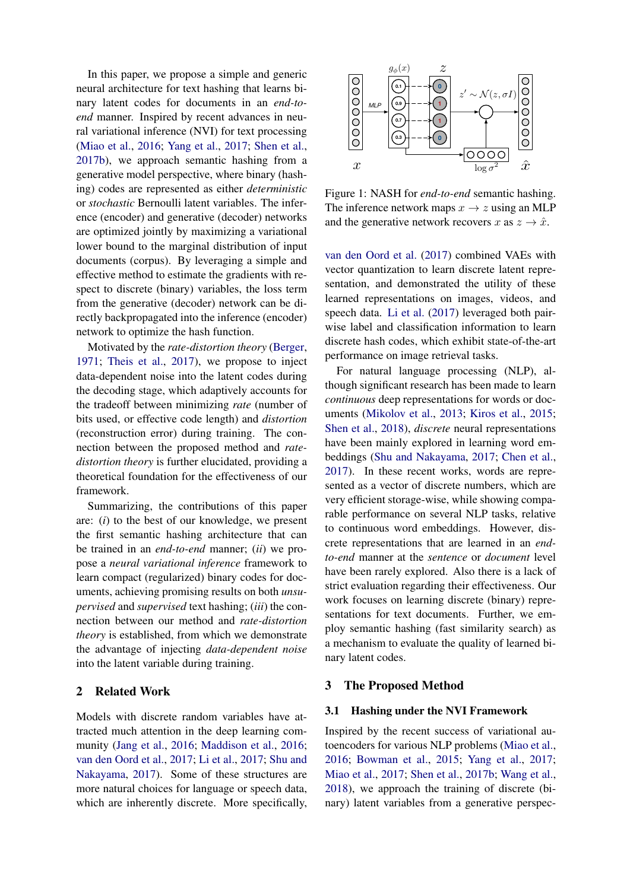In this paper, we propose a simple and generic neural architecture for text hashing that learns binary latent codes for documents in an *end-toend* manner. Inspired by recent advances in neural variational inference (NVI) for text processing [\(Miao et al.,](#page-9-7) [2016;](#page-9-7) [Yang et al.,](#page-9-8) [2017;](#page-9-8) [Shen et al.,](#page-9-9) [2017b\)](#page-9-9), we approach semantic hashing from a generative model perspective, where binary (hashing) codes are represented as either *deterministic* or *stochastic* Bernoulli latent variables. The inference (encoder) and generative (decoder) networks are optimized jointly by maximizing a variational lower bound to the marginal distribution of input documents (corpus). By leveraging a simple and effective method to estimate the gradients with respect to discrete (binary) variables, the loss term from the generative (decoder) network can be directly backpropagated into the inference (encoder) network to optimize the hash function.

Motivated by the *rate-distortion theory* [\(Berger,](#page-8-3) [1971;](#page-8-3) [Theis et al.,](#page-9-10) [2017\)](#page-9-10), we propose to inject data-dependent noise into the latent codes during the decoding stage, which adaptively accounts for the tradeoff between minimizing *rate* (number of bits used, or effective code length) and *distortion* (reconstruction error) during training. The connection between the proposed method and *ratedistortion theory* is further elucidated, providing a theoretical foundation for the effectiveness of our framework.

Summarizing, the contributions of this paper are: (*i*) to the best of our knowledge, we present the first semantic hashing architecture that can be trained in an *end-to-end* manner; (*ii*) we propose a *neural variational inference* framework to learn compact (regularized) binary codes for documents, achieving promising results on both *unsupervised* and *supervised* text hashing; (*iii*) the connection between our method and *rate-distortion theory* is established, from which we demonstrate the advantage of injecting *data-dependent noise* into the latent variable during training.

# 2 Related Work

Models with discrete random variables have attracted much attention in the deep learning community [\(Jang et al.,](#page-8-4) [2016;](#page-8-4) [Maddison et al.,](#page-9-11) [2016;](#page-9-11) [van den Oord et al.,](#page-9-12) [2017;](#page-9-12) [Li et al.,](#page-8-5) [2017;](#page-8-5) [Shu and](#page-9-13) [Nakayama,](#page-9-13) [2017\)](#page-9-13). Some of these structures are more natural choices for language or speech data, which are inherently discrete. More specifically,

<span id="page-1-0"></span>

Figure 1: NASH for *end-to-end* semantic hashing. The inference network maps  $x \to z$  using an MLP and the generative network recovers x as  $z \to \hat{x}$ .

[van den Oord et al.](#page-9-12) [\(2017\)](#page-9-12) combined VAEs with vector quantization to learn discrete latent representation, and demonstrated the utility of these learned representations on images, videos, and speech data. [Li et al.](#page-8-5) [\(2017\)](#page-8-5) leveraged both pairwise label and classification information to learn discrete hash codes, which exhibit state-of-the-art performance on image retrieval tasks.

For natural language processing (NLP), although significant research has been made to learn *continuous* deep representations for words or documents [\(Mikolov et al.,](#page-9-14) [2013;](#page-9-14) [Kiros et al.,](#page-8-6) [2015;](#page-8-6) [Shen et al.,](#page-9-15) [2018\)](#page-9-15), *discrete* neural representations have been mainly explored in learning word embeddings [\(Shu and Nakayama,](#page-9-13) [2017;](#page-9-13) [Chen et al.,](#page-8-7) [2017\)](#page-8-7). In these recent works, words are represented as a vector of discrete numbers, which are very efficient storage-wise, while showing comparable performance on several NLP tasks, relative to continuous word embeddings. However, discrete representations that are learned in an *endto-end* manner at the *sentence* or *document* level have been rarely explored. Also there is a lack of strict evaluation regarding their effectiveness. Our work focuses on learning discrete (binary) representations for text documents. Further, we employ semantic hashing (fast similarity search) as a mechanism to evaluate the quality of learned binary latent codes.

#### <span id="page-1-1"></span>3 The Proposed Method

#### 3.1 Hashing under the NVI Framework

Inspired by the recent success of variational autoencoders for various NLP problems [\(Miao et al.,](#page-9-7) [2016;](#page-9-7) [Bowman et al.,](#page-8-8) [2015;](#page-8-8) [Yang et al.,](#page-9-8) [2017;](#page-9-8) [Miao et al.,](#page-9-16) [2017;](#page-9-16) [Shen et al.,](#page-9-9) [2017b;](#page-9-9) [Wang et al.,](#page-9-17) [2018\)](#page-9-17), we approach the training of discrete (binary) latent variables from a generative perspec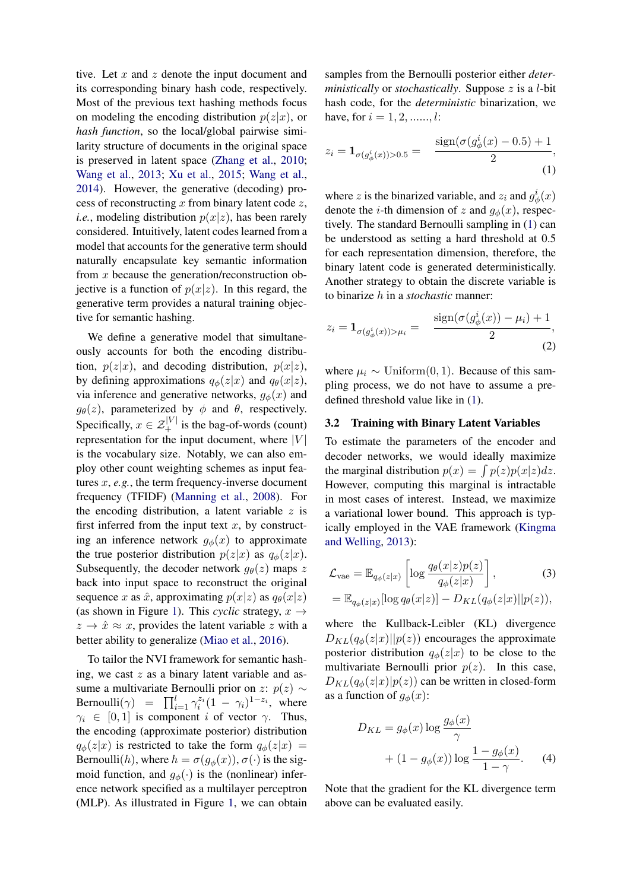tive. Let  $x$  and  $z$  denote the input document and its corresponding binary hash code, respectively. Most of the previous text hashing methods focus on modeling the encoding distribution  $p(z|x)$ , or *hash function*, so the local/global pairwise similarity structure of documents in the original space is preserved in latent space [\(Zhang et al.,](#page-9-3) [2010;](#page-9-3) [Wang et al.,](#page-9-6) [2013;](#page-9-6) [Xu et al.,](#page-9-5) [2015;](#page-9-5) [Wang et al.,](#page-9-4) [2014\)](#page-9-4). However, the generative (decoding) process of reconstructing  $x$  from binary latent code  $z$ , *i.e.*, modeling distribution  $p(x|z)$ , has been rarely considered. Intuitively, latent codes learned from a model that accounts for the generative term should naturally encapsulate key semantic information from x because the generation/reconstruction objective is a function of  $p(x|z)$ . In this regard, the generative term provides a natural training objective for semantic hashing.

We define a generative model that simultaneously accounts for both the encoding distribution,  $p(z|x)$ , and decoding distribution,  $p(x|z)$ , by defining approximations  $q_{\phi}(z|x)$  and  $q_{\theta}(x|z)$ , via inference and generative networks,  $g_{\phi}(x)$  and  $g_{\theta}(z)$ , parameterized by  $\phi$  and  $\theta$ , respectively. Specifically,  $x \in \mathcal{Z}_+^{|V|}$  is the bag-of-words (count) representation for the input document, where  $|V|$ is the vocabulary size. Notably, we can also employ other count weighting schemes as input features x, *e.g.*, the term frequency-inverse document frequency (TFIDF) [\(Manning et al.,](#page-9-18) [2008\)](#page-9-18). For the encoding distribution, a latent variable  $z$  is first inferred from the input text  $x$ , by constructing an inference network  $g_{\phi}(x)$  to approximate the true posterior distribution  $p(z|x)$  as  $q_{\phi}(z|x)$ . Subsequently, the decoder network  $g_{\theta}(z)$  maps z back into input space to reconstruct the original sequence x as  $\hat{x}$ , approximating  $p(x|z)$  as  $q_{\theta}(x|z)$ (as shown in Figure [1\)](#page-1-0). This *cyclic* strategy,  $x \rightarrow$  $z \rightarrow \hat{x} \approx x$ , provides the latent variable z with a better ability to generalize [\(Miao et al.,](#page-9-7) [2016\)](#page-9-7).

To tailor the NVI framework for semantic hashing, we cast  $z$  as a binary latent variable and assume a multivariate Bernoulli prior on z:  $p(z)$  ∼ Bernoulli $(\gamma)$  =  $\prod_{i=1}^{l} \gamma_i^{z_i} (1 - \gamma_i)^{1-z_i}$ , where  $\gamma_i \in [0,1]$  is component *i* of vector  $\gamma$ . Thus, the encoding (approximate posterior) distribution  $q_{\phi}(z|x)$  is restricted to take the form  $q_{\phi}(z|x)$  = Bernoulli(h), where  $h = \sigma(g_{\phi}(x)), \sigma(\cdot)$  is the sigmoid function, and  $g_{\phi}(\cdot)$  is the (nonlinear) inference network specified as a multilayer perceptron (MLP). As illustrated in Figure [1,](#page-1-0) we can obtain

samples from the Bernoulli posterior either *deterministically* or *stochastically*. Suppose z is a l-bit hash code, for the *deterministic* binarization, we have, for  $i = 1, 2, \dots, l$ :

<span id="page-2-0"></span>
$$
z_i = \mathbf{1}_{\sigma(g^i_{\phi}(x))>0.5} = \frac{\text{sign}(\sigma(g^i_{\phi}(x) - 0.5) + 1)}{2},
$$
\n(1)

where z is the binarized variable, and  $z_i$  and  $g^i_\phi(x)$ denote the *i*-th dimension of z and  $g_{\phi}(x)$ , respectively. The standard Bernoulli sampling in [\(1\)](#page-2-0) can be understood as setting a hard threshold at 0.5 for each representation dimension, therefore, the binary latent code is generated deterministically. Another strategy to obtain the discrete variable is to binarize h in a *stochastic* manner:

<span id="page-2-2"></span>
$$
z_{i} = \mathbf{1}_{\sigma(g_{\phi}^{i}(x)) > \mu_{i}} = \frac{\text{sign}(\sigma(g_{\phi}^{i}(x)) - \mu_{i}) + 1}{2},
$$
\n(2)

where  $\mu_i \sim \text{Uniform}(0, 1)$ . Because of this sampling process, we do not have to assume a predefined threshold value like in [\(1\)](#page-2-0).

## 3.2 Training with Binary Latent Variables

To estimate the parameters of the encoder and decoder networks, we would ideally maximize the marginal distribution  $p(x) = \int p(z)p(x|z)dz$ . However, computing this marginal is intractable in most cases of interest. Instead, we maximize a variational lower bound. This approach is typically employed in the VAE framework [\(Kingma](#page-8-9) [and Welling,](#page-8-9) [2013\)](#page-8-9):

<span id="page-2-1"></span>
$$
\mathcal{L}_{\text{vae}} = \mathbb{E}_{q_{\phi}(z|x)} \left[ \log \frac{q_{\theta}(x|z)p(z)}{q_{\phi}(z|x)} \right],
$$
\n
$$
= \mathbb{E}_{q_{\phi}(z|x)} [\log q_{\theta}(x|z)] - D_{KL}(q_{\phi}(z|x)||p(z)),
$$
\n(3)

where the Kullback-Leibler (KL) divergence  $D_{KL}(q_{\phi}(z|x)||p(z))$  encourages the approximate posterior distribution  $q_{\phi}(z|x)$  to be close to the multivariate Bernoulli prior  $p(z)$ . In this case,  $D_{KL}(q_{\phi}(z|x)|p(z))$  can be written in closed-form as a function of  $g_{\phi}(x)$ :

$$
D_{KL} = g_{\phi}(x) \log \frac{g_{\phi}(x)}{\gamma} + (1 - g_{\phi}(x)) \log \frac{1 - g_{\phi}(x)}{1 - \gamma}.
$$
 (4)

Note that the gradient for the KL divergence term above can be evaluated easily.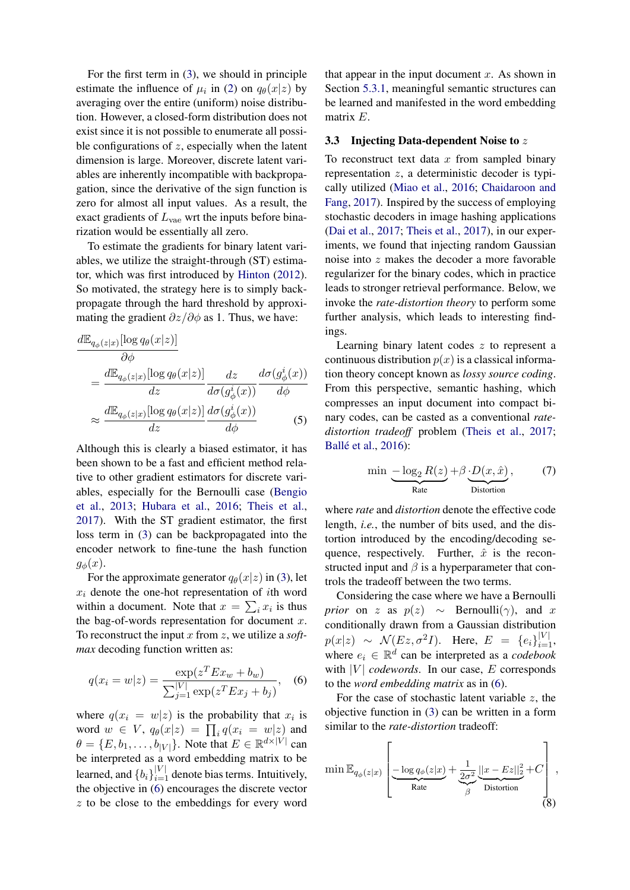For the first term in [\(3\)](#page-2-1), we should in principle estimate the influence of  $\mu_i$  in [\(2\)](#page-2-2) on  $q_\theta(x|z)$  by averaging over the entire (uniform) noise distribution. However, a closed-form distribution does not exist since it is not possible to enumerate all possible configurations of  $z$ , especially when the latent dimension is large. Moreover, discrete latent variables are inherently incompatible with backpropagation, since the derivative of the sign function is zero for almost all input values. As a result, the exact gradients of  $L_{\text{vae}}$  wrt the inputs before binarization would be essentially all zero.

To estimate the gradients for binary latent variables, we utilize the straight-through (ST) estimator, which was first introduced by [Hinton](#page-8-10) [\(2012\)](#page-8-10). So motivated, the strategy here is to simply backpropagate through the hard threshold by approximating the gradient  $\partial z/\partial \phi$  as 1. Thus, we have:

$$
\frac{d\mathbb{E}_{q_{\phi}(z|x)}[\log q_{\theta}(x|z)]}{\partial \phi} \n= \frac{d\mathbb{E}_{q_{\phi}(z|x)}[\log q_{\theta}(x|z)]}{dz} \frac{dz}{d\sigma(g_{\phi}^i(x))} \frac{d\sigma(g_{\phi}^i(x))}{d\phi} \n\approx \frac{d\mathbb{E}_{q_{\phi}(z|x)}[\log q_{\theta}(x|z)]}{dz} \frac{d\sigma(g_{\phi}^i(x))}{d\phi}
$$
\n(5)

Although this is clearly a biased estimator, it has been shown to be a fast and efficient method relative to other gradient estimators for discrete variables, especially for the Bernoulli case [\(Bengio](#page-8-11) [et al.,](#page-8-11) [2013;](#page-8-11) [Hubara et al.,](#page-8-12) [2016;](#page-8-12) [Theis et al.,](#page-9-10) [2017\)](#page-9-10). With the ST gradient estimator, the first loss term in [\(3\)](#page-2-1) can be backpropagated into the encoder network to fine-tune the hash function  $g_{\phi}(x)$ .

For the approximate generator  $q_{\theta}(x|z)$  in [\(3\)](#page-2-1), let  $x_i$  denote the one-hot representation of *i*th word within a document. Note that  $x = \sum_i x_i$  is thus the bag-of-words representation for document  $x$ . To reconstruct the input x from z, we utilize a *softmax* decoding function written as:

$$
q(x_i = w|z) = \frac{\exp(z^T E x_w + b_w)}{\sum_{j=1}^{|V|} \exp(z^T E x_j + b_j)},
$$
 (6)

where  $q(x_i = w|z)$  is the probability that  $x_i$  is word  $w \in V$ ,  $q_{\theta}(x|z) = \prod_i q(x_i = w|z)$  and  $\theta = \{E, b_1, \dots, b_{|V|}\}.$  Note that  $E \in \mathbb{R}^{d \times |V|}$  can be interpreted as a word embedding matrix to be learned, and  ${b_i}_{i=1}^{|V|}$  denote bias terms. Intuitively, the objective in [\(6\)](#page-3-0) encourages the discrete vector z to be close to the embeddings for every word

that appear in the input document  $x$ . As shown in Section [5.3.1,](#page-7-0) meaningful semantic structures can be learned and manifested in the word embedding matrix E.

## 3.3 Injecting Data-dependent Noise to z

To reconstruct text data  $x$  from sampled binary representation z, a deterministic decoder is typically utilized [\(Miao et al.,](#page-9-7) [2016;](#page-9-7) [Chaidaroon and](#page-8-2) [Fang,](#page-8-2) [2017\)](#page-8-2). Inspired by the success of employing stochastic decoders in image hashing applications [\(Dai et al.,](#page-8-13) [2017;](#page-8-13) [Theis et al.,](#page-9-10) [2017\)](#page-9-10), in our experiments, we found that injecting random Gaussian noise into z makes the decoder a more favorable regularizer for the binary codes, which in practice leads to stronger retrieval performance. Below, we invoke the *rate-distortion theory* to perform some further analysis, which leads to interesting findings.

Learning binary latent codes  $z$  to represent a continuous distribution  $p(x)$  is a classical information theory concept known as *lossy source coding*. From this perspective, semantic hashing, which compresses an input document into compact binary codes, can be casted as a conventional *ratedistortion tradeoff* problem [\(Theis et al.,](#page-9-10) [2017;](#page-9-10) Ballé et al., [2016\)](#page-8-14):

$$
\min \underbrace{-\log_2 R(z)}_{\text{Rate}} + \beta \underbrace{D(x, \hat{x})}_{\text{Distortion}}, \tag{7}
$$

where *rate* and *distortion* denote the effective code length, *i.e.*, the number of bits used, and the distortion introduced by the encoding/decoding sequence, respectively. Further,  $\hat{x}$  is the reconstructed input and  $\beta$  is a hyperparameter that controls the tradeoff between the two terms.

Considering the case where we have a Bernoulli *prior* on z as  $p(z) \sim$  Bernoulli( $\gamma$ ), and x conditionally drawn from a Gaussian distribution  $p(x|z) \sim \mathcal{N}(Ez, \sigma^2 I)$ . Here,  $E = \{e_i\}_{i=1}^{|V|}$ , where  $e_i \in \mathbb{R}^d$  can be interpreted as a *codebook* with  $|V|$  *codewords*. In our case,  $E$  corresponds to the *word embedding matrix* as in [\(6\)](#page-3-0).

<span id="page-3-0"></span>For the case of stochastic latent variable  $z$ , the objective function in [\(3\)](#page-2-1) can be written in a form similar to the *rate-distortion* tradeoff:

$$
\min \mathbb{E}_{q_{\phi}(z|x)} \left[ \underbrace{-\log q_{\phi}(z|x)}_{\text{Rate}} + \underbrace{\frac{1}{2\sigma^2}}_{\beta} \underbrace{||x - Ez||_2^2}_{\text{Distortion}} + C \right],
$$
\n(8)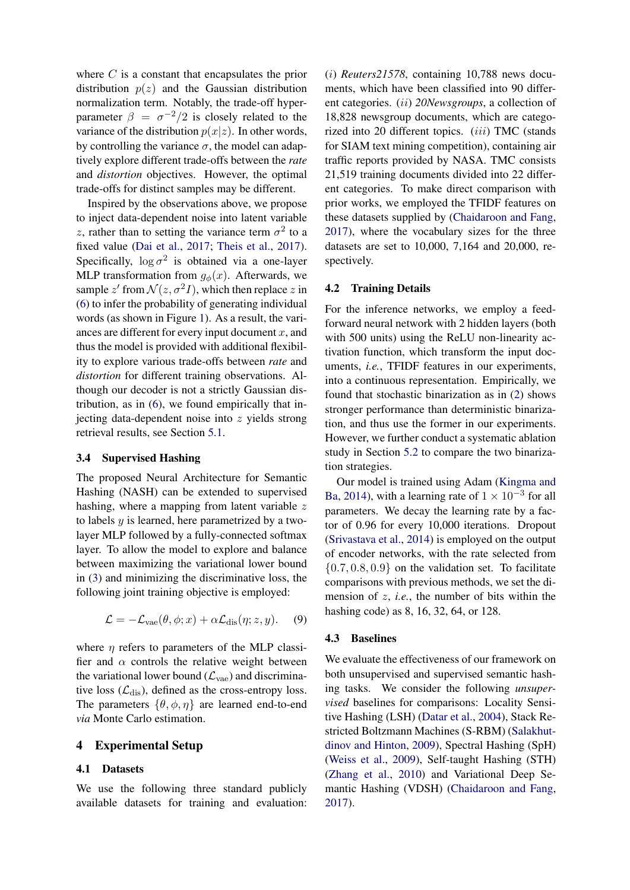where  $C$  is a constant that encapsulates the prior distribution  $p(z)$  and the Gaussian distribution normalization term. Notably, the trade-off hyperparameter  $\beta = \sigma^{-2}/2$  is closely related to the variance of the distribution  $p(x|z)$ . In other words, by controlling the variance  $\sigma$ , the model can adaptively explore different trade-offs between the *rate* and *distortion* objectives. However, the optimal trade-offs for distinct samples may be different.

Inspired by the observations above, we propose to inject data-dependent noise into latent variable z, rather than to setting the variance term  $\sigma^2$  to a fixed value [\(Dai et al.,](#page-8-13) [2017;](#page-8-13) [Theis et al.,](#page-9-10) [2017\)](#page-9-10). Specifically,  $\log \sigma^2$  is obtained via a one-layer MLP transformation from  $q_{\phi}(x)$ . Afterwards, we sample z' from  $\mathcal{N}(z, \sigma^2 I)$ , which then replace z in [\(6\)](#page-3-0) to infer the probability of generating individual words (as shown in Figure [1\)](#page-1-0). As a result, the variances are different for every input document  $x$ , and thus the model is provided with additional flexibility to explore various trade-offs between *rate* and *distortion* for different training observations. Although our decoder is not a strictly Gaussian distribution, as in [\(6\)](#page-3-0), we found empirically that injecting data-dependent noise into z yields strong retrieval results, see Section [5.1.](#page-5-0)

#### 3.4 Supervised Hashing

The proposed Neural Architecture for Semantic Hashing (NASH) can be extended to supervised hashing, where a mapping from latent variable z to labels y is learned, here parametrized by a twolayer MLP followed by a fully-connected softmax layer. To allow the model to explore and balance between maximizing the variational lower bound in [\(3\)](#page-2-1) and minimizing the discriminative loss, the following joint training objective is employed:

$$
\mathcal{L} = -\mathcal{L}_{\text{vae}}(\theta, \phi; x) + \alpha \mathcal{L}_{\text{dis}}(\eta; z, y). \tag{9}
$$

where  $\eta$  refers to parameters of the MLP classifier and  $\alpha$  controls the relative weight between the variational lower bound  $(\mathcal{L}_{\text{vae}})$  and discriminative loss  $(\mathcal{L}_{dis})$ , defined as the cross-entropy loss. The parameters  $\{\theta, \phi, \eta\}$  are learned end-to-end *via* Monte Carlo estimation.

# 4 Experimental Setup

# 4.1 Datasets

We use the following three standard publicly available datasets for training and evaluation: (i) *Reuters21578*, containing 10,788 news documents, which have been classified into 90 different categories. (ii) *20Newsgroups*, a collection of 18,828 newsgroup documents, which are categorized into 20 different topics. (iii) TMC (stands for SIAM text mining competition), containing air traffic reports provided by NASA. TMC consists 21,519 training documents divided into 22 different categories. To make direct comparison with prior works, we employed the TFIDF features on these datasets supplied by [\(Chaidaroon and Fang,](#page-8-2) [2017\)](#page-8-2), where the vocabulary sizes for the three datasets are set to 10,000, 7,164 and 20,000, respectively.

#### 4.2 Training Details

For the inference networks, we employ a feedforward neural network with 2 hidden layers (both with 500 units) using the ReLU non-linearity activation function, which transform the input documents, *i.e.*, TFIDF features in our experiments, into a continuous representation. Empirically, we found that stochastic binarization as in [\(2\)](#page-2-2) shows stronger performance than deterministic binarization, and thus use the former in our experiments. However, we further conduct a systematic ablation study in Section [5.2](#page-6-0) to compare the two binarization strategies.

Our model is trained using Adam [\(Kingma and](#page-8-15) [Ba,](#page-8-15) [2014\)](#page-8-15), with a learning rate of  $1 \times 10^{-3}$  for all parameters. We decay the learning rate by a factor of 0.96 for every 10,000 iterations. Dropout [\(Srivastava et al.,](#page-9-19) [2014\)](#page-9-19) is employed on the output of encoder networks, with the rate selected from  ${0.7, 0.8, 0.9}$  on the validation set. To facilitate comparisons with previous methods, we set the dimension of z, *i.e.*, the number of bits within the hashing code) as 8, 16, 32, 64, or 128.

#### 4.3 Baselines

We evaluate the effectiveness of our framework on both unsupervised and supervised semantic hashing tasks. We consider the following *unsupervised* baselines for comparisons: Locality Sensitive Hashing (LSH) [\(Datar et al.,](#page-8-16) [2004\)](#page-8-16), Stack Restricted Boltzmann Machines (S-RBM) [\(Salakhut](#page-9-2)[dinov and Hinton,](#page-9-2) [2009\)](#page-9-2), Spectral Hashing (SpH) [\(Weiss et al.,](#page-9-20) [2009\)](#page-9-20), Self-taught Hashing (STH) [\(Zhang et al.,](#page-9-3) [2010\)](#page-9-3) and Variational Deep Semantic Hashing (VDSH) [\(Chaidaroon and Fang,](#page-8-2) [2017\)](#page-8-2).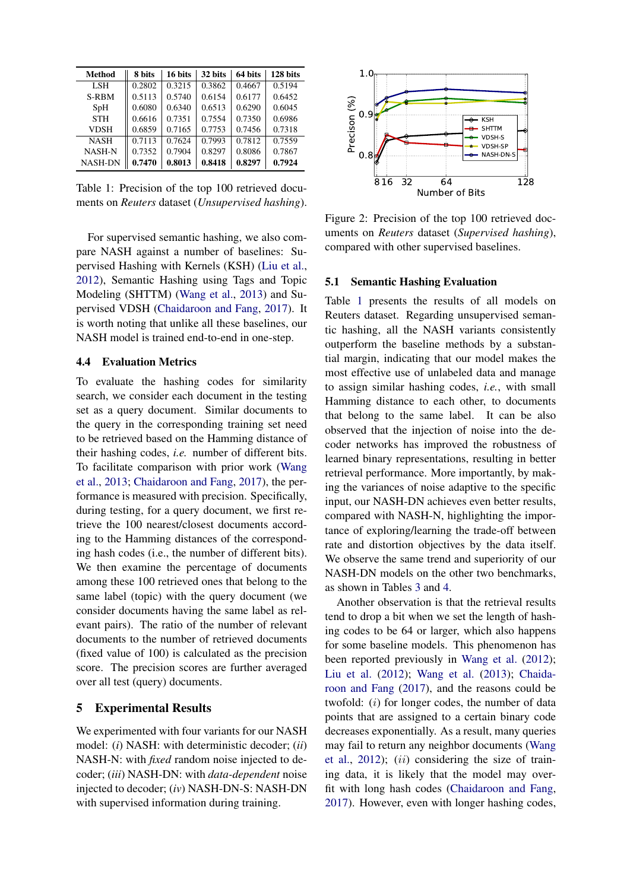<span id="page-5-1"></span>

| Method         | 8 bits | 16 bits | 32 bits | 64 bits | 128 bits |
|----------------|--------|---------|---------|---------|----------|
| LSH            | 0.2802 | 0.3215  | 0.3862  | 0.4667  | 0.5194   |
| S-RBM          | 0.5113 | 0.5740  | 0.6154  | 0.6177  | 0.6452   |
| SpH            | 0.6080 | 0.6340  | 0.6513  | 0.6290  | 0.6045   |
| <b>STH</b>     | 0.6616 | 0.7351  | 0.7554  | 0.7350  | 0.6986   |
| <b>VDSH</b>    | 0.6859 | 0.7165  | 0.7753  | 0.7456  | 0.7318   |
| <b>NASH</b>    | 0.7113 | 0.7624  | 0.7993  | 0.7812  | 0.7559   |
| <b>NASH-N</b>  | 0.7352 | 0.7904  | 0.8297  | 0.8086  | 0.7867   |
| <b>NASH-DN</b> | 0.7470 | 0.8013  | 0.8418  | 0.8297  | 0.7924   |

Table 1: Precision of the top 100 retrieved documents on *Reuters* dataset (*Unsupervised hashing*).

For supervised semantic hashing, we also compare NASH against a number of baselines: Supervised Hashing with Kernels (KSH) [\(Liu et al.,](#page-8-17) [2012\)](#page-8-17), Semantic Hashing using Tags and Topic Modeling (SHTTM) [\(Wang et al.,](#page-9-6) [2013\)](#page-9-6) and Supervised VDSH [\(Chaidaroon and Fang,](#page-8-2) [2017\)](#page-8-2). It is worth noting that unlike all these baselines, our NASH model is trained end-to-end in one-step.

#### 4.4 Evaluation Metrics

To evaluate the hashing codes for similarity search, we consider each document in the testing set as a query document. Similar documents to the query in the corresponding training set need to be retrieved based on the Hamming distance of their hashing codes, *i.e.* number of different bits. To facilitate comparison with prior work [\(Wang](#page-9-6) [et al.,](#page-9-6) [2013;](#page-9-6) [Chaidaroon and Fang,](#page-8-2) [2017\)](#page-8-2), the performance is measured with precision. Specifically, during testing, for a query document, we first retrieve the 100 nearest/closest documents according to the Hamming distances of the corresponding hash codes (i.e., the number of different bits). We then examine the percentage of documents among these 100 retrieved ones that belong to the same label (topic) with the query document (we consider documents having the same label as relevant pairs). The ratio of the number of relevant documents to the number of retrieved documents (fixed value of 100) is calculated as the precision score. The precision scores are further averaged over all test (query) documents.

## 5 Experimental Results

We experimented with four variants for our NASH model: (*i*) NASH: with deterministic decoder; (*ii*) NASH-N: with *fixed* random noise injected to decoder; (*iii*) NASH-DN: with *data-dependent* noise injected to decoder; (*iv*) NASH-DN-S: NASH-DN with supervised information during training.

<span id="page-5-2"></span>

Figure 2: Precision of the top 100 retrieved documents on *Reuters* dataset (*Supervised hashing*), compared with other supervised baselines.

#### <span id="page-5-0"></span>5.1 Semantic Hashing Evaluation

Table [1](#page-5-1) presents the results of all models on Reuters dataset. Regarding unsupervised semantic hashing, all the NASH variants consistently outperform the baseline methods by a substantial margin, indicating that our model makes the most effective use of unlabeled data and manage to assign similar hashing codes, *i.e.*, with small Hamming distance to each other, to documents that belong to the same label. It can be also observed that the injection of noise into the decoder networks has improved the robustness of learned binary representations, resulting in better retrieval performance. More importantly, by making the variances of noise adaptive to the specific input, our NASH-DN achieves even better results, compared with NASH-N, highlighting the importance of exploring/learning the trade-off between rate and distortion objectives by the data itself. We observe the same trend and superiority of our NASH-DN models on the other two benchmarks, as shown in Tables [3](#page-6-1) and [4.](#page-6-2)

Another observation is that the retrieval results tend to drop a bit when we set the length of hashing codes to be 64 or larger, which also happens for some baseline models. This phenomenon has been reported previously in [Wang et al.](#page-9-21) [\(2012\)](#page-9-21); [Liu et al.](#page-8-17) [\(2012\)](#page-8-17); [Wang et al.](#page-9-6) [\(2013\)](#page-9-6); [Chaida](#page-8-2)[roon and Fang](#page-8-2) [\(2017\)](#page-8-2), and the reasons could be twofold: (i) for longer codes, the number of data points that are assigned to a certain binary code decreases exponentially. As a result, many queries may fail to return any neighbor documents [\(Wang](#page-9-21) [et al.,](#page-9-21)  $2012$ );  $(ii)$  considering the size of training data, it is likely that the model may overfit with long hash codes [\(Chaidaroon and Fang,](#page-8-2) [2017\)](#page-8-2). However, even with longer hashing codes,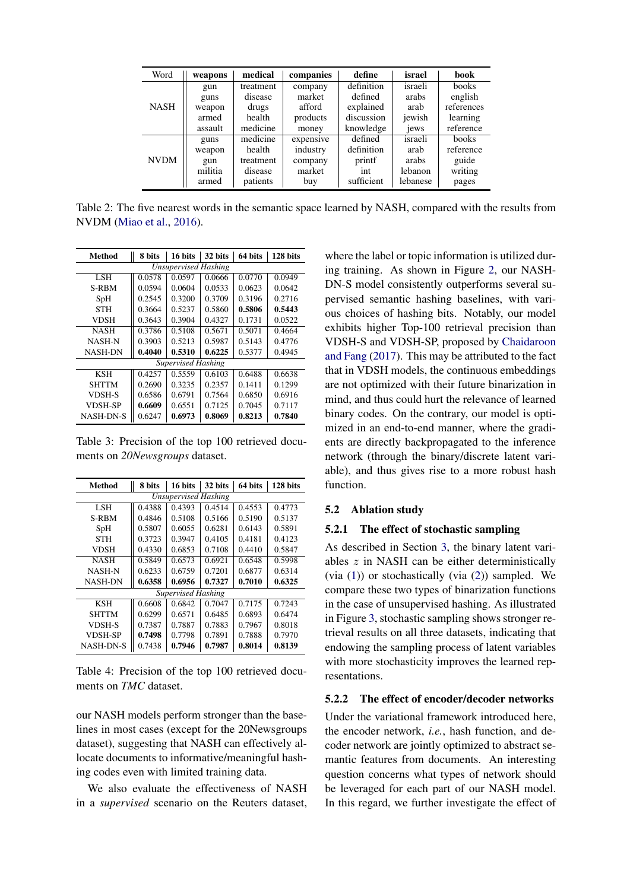<span id="page-6-3"></span>

| Word        | weapons | medical   | companies | define     | israel   | <b>book</b> |
|-------------|---------|-----------|-----------|------------|----------|-------------|
| <b>NASH</b> | gun     | treatment | company   | definition | israeli  | books       |
|             | guns    | disease   | market    | defined    | arabs    | english     |
|             | weapon  | drugs     | afford    | explained  | arab     | references  |
|             | armed   | health    | products  | discussion | jewish   | learning    |
|             | assault | medicine  | money     | knowledge  | jews     | reference   |
|             | guns    | medicine  | expensive | defined    | israeli  | books       |
| <b>NVDM</b> | weapon  | health    | industry  | definition | arab     | reference   |
|             | gun     | treatment | company   | printf     | arabs    | guide       |
|             | militia | disease   | market    | int        | lebanon  | writing     |
|             | armed   | patients  | buy       | sufficient | lebanese | pages       |

Table 2: The five nearest words in the semantic space learned by NASH, compared with the results from NVDM [\(Miao et al.,](#page-9-7) [2016\)](#page-9-7).

<span id="page-6-1"></span>

| <b>Method</b>               | 8 bits | 16 bits | 32 bits | 64 bits | 128 bits |  |
|-----------------------------|--------|---------|---------|---------|----------|--|
| <b>Unsupervised Hashing</b> |        |         |         |         |          |  |
| <b>LSH</b>                  | 0.0578 | 0.0597  | 0.0666  | 0.0770  | 0.0949   |  |
| S-RBM                       | 0.0594 | 0.0604  | 0.0533  | 0.0623  | 0.0642   |  |
| SpH                         | 0.2545 | 0.3200  | 0.3709  | 0.3196  | 0.2716   |  |
| <b>STH</b>                  | 0.3664 | 0.5237  | 0.5860  | 0.5806  | 0.5443   |  |
| <b>VDSH</b>                 | 0.3643 | 0.3904  | 0.4327  | 0.1731  | 0.0522   |  |
| <b>NASH</b>                 | 0.3786 | 0.5108  | 0.5671  | 0.5071  | 0.4664   |  |
| <b>NASH-N</b>               | 0.3903 | 0.5213  | 0.5987  | 0.5143  | 0.4776   |  |
| <b>NASH-DN</b>              | 0.4040 | 0.5310  | 0.6225  | 0.5377  | 0.4945   |  |
| <b>Supervised Hashing</b>   |        |         |         |         |          |  |
| <b>KSH</b>                  | 0.4257 | 0.5559  | 0.6103  | 0.6488  | 0.6638   |  |
| <b>SHTTM</b>                | 0.2690 | 0.3235  | 0.2357  | 0.1411  | 0.1299   |  |
| <b>VDSH-S</b>               | 0.6586 | 0.6791  | 0.7564  | 0.6850  | 0.6916   |  |
| VDSH-SP                     | 0.6609 | 0.6551  | 0.7125  | 0.7045  | 0.7117   |  |
| <b>NASH-DN-S</b>            | 0.6247 | 0.6973  | 0.8069  | 0.8213  | 0.7840   |  |

Table 3: Precision of the top 100 retrieved documents on *20Newsgroups* dataset.

<span id="page-6-2"></span>

| Method                      | 8 bits | 16 bits | 32 bits | 64 bits | 128 bits |  |
|-----------------------------|--------|---------|---------|---------|----------|--|
| <b>Unsupervised Hashing</b> |        |         |         |         |          |  |
| LSH.                        | 0.4388 | 0.4393  | 0.4514  | 0.4553  | 0.4773   |  |
| S-RBM                       | 0.4846 | 0.5108  | 0.5166  | 0.5190  | 0.5137   |  |
| SpH                         | 0.5807 | 0.6055  | 0.6281  | 0.6143  | 0.5891   |  |
| <b>STH</b>                  | 0.3723 | 0.3947  | 0.4105  | 0.4181  | 0.4123   |  |
| <b>VDSH</b>                 | 0.4330 | 0.6853  | 0.7108  | 0.4410  | 0.5847   |  |
| <b>NASH</b>                 | 0.5849 | 0.6573  | 0.6921  | 0.6548  | 0.5998   |  |
| <b>NASH-N</b>               | 0.6233 | 0.6759  | 0.7201  | 0.6877  | 0.6314   |  |
| <b>NASH-DN</b>              | 0.6358 | 0.6956  | 0.7327  | 0.7010  | 0.6325   |  |
| <b>Supervised Hashing</b>   |        |         |         |         |          |  |
| KSH                         | 0.6608 | 0.6842  | 0.7047  | 0.7175  | 0.7243   |  |
| <b>SHTTM</b>                | 0.6299 | 0.6571  | 0.6485  | 0.6893  | 0.6474   |  |
| VDSH-S                      | 0.7387 | 0.7887  | 0.7883  | 0.7967  | 0.8018   |  |
| <b>VDSH-SP</b>              | 0.7498 | 0.7798  | 0.7891  | 0.7888  | 0.7970   |  |
| <b>NASH-DN-S</b>            | 0.7438 | 0.7946  | 0.7987  | 0.8014  | 0.8139   |  |

Table 4: Precision of the top 100 retrieved documents on *TMC* dataset.

our NASH models perform stronger than the baselines in most cases (except for the 20Newsgroups dataset), suggesting that NASH can effectively allocate documents to informative/meaningful hashing codes even with limited training data.

We also evaluate the effectiveness of NASH in a *supervised* scenario on the Reuters dataset, where the label or topic information is utilized during training. As shown in Figure [2,](#page-5-2) our NASH-DN-S model consistently outperforms several supervised semantic hashing baselines, with various choices of hashing bits. Notably, our model exhibits higher Top-100 retrieval precision than VDSH-S and VDSH-SP, proposed by [Chaidaroon](#page-8-2) [and Fang](#page-8-2) [\(2017\)](#page-8-2). This may be attributed to the fact that in VDSH models, the continuous embeddings are not optimized with their future binarization in mind, and thus could hurt the relevance of learned binary codes. On the contrary, our model is optimized in an end-to-end manner, where the gradients are directly backpropagated to the inference network (through the binary/discrete latent variable), and thus gives rise to a more robust hash function.

## <span id="page-6-0"></span>5.2 Ablation study

# 5.2.1 The effect of stochastic sampling

As described in Section [3,](#page-1-1) the binary latent variables z in NASH can be either deterministically (via  $(1)$ ) or stochastically (via  $(2)$ ) sampled. We compare these two types of binarization functions in the case of unsupervised hashing. As illustrated in Figure [3,](#page-7-1) stochastic sampling shows stronger retrieval results on all three datasets, indicating that endowing the sampling process of latent variables with more stochasticity improves the learned representations.

# 5.2.2 The effect of encoder/decoder networks

Under the variational framework introduced here, the encoder network, *i.e.*, hash function, and decoder network are jointly optimized to abstract semantic features from documents. An interesting question concerns what types of network should be leveraged for each part of our NASH model. In this regard, we further investigate the effect of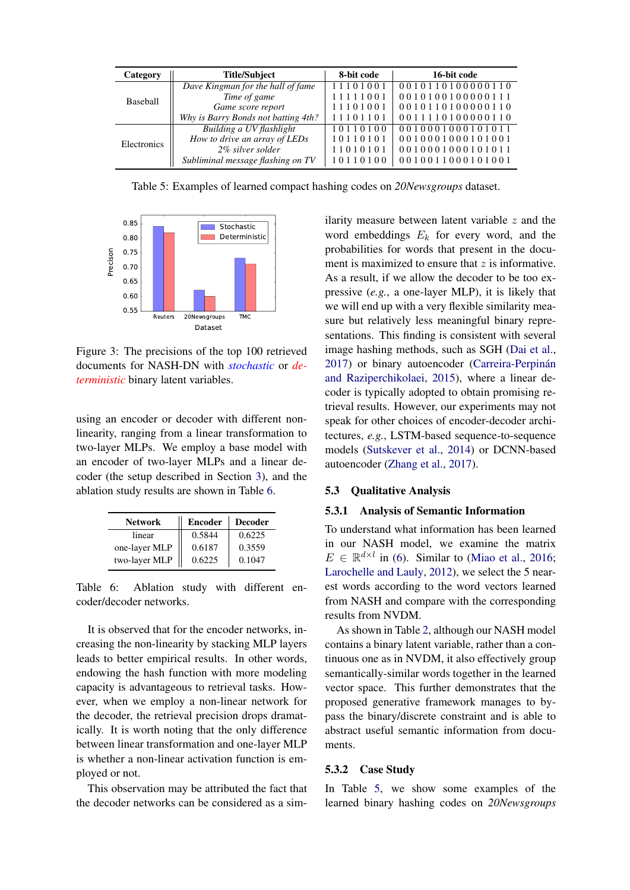<span id="page-7-3"></span>

| Category        | <b>Title/Subject</b>                | 8-bit code | 16-bit code      |
|-----------------|-------------------------------------|------------|------------------|
|                 | Dave Kingman for the hall of fame   | 11101001   | 0010110100000110 |
| <b>Baseball</b> | Time of game                        | 11111001   | 0010100100000111 |
|                 | Game score report                   | 11101001   | 0010110100000110 |
|                 | Why is Barry Bonds not batting 4th? | 11101101   | 0011110100000110 |
|                 | Building a UV flashlight            | 10110100   | 0010001000101011 |
| Electronics     | How to drive an array of LEDs       | 10110101   | 0010001000101001 |
|                 | 2% silver solder                    | 11010101   | 0010001000101011 |
|                 | Subliminal message flashing on TV   | 10110100   | 0010011000101001 |

Table 5: Examples of learned compact hashing codes on *20Newsgroups* dataset.

<span id="page-7-1"></span>

Figure 3: The precisions of the top 100 retrieved documents for NASH-DN with *stochastic* or *deterministic* binary latent variables.

using an encoder or decoder with different nonlinearity, ranging from a linear transformation to two-layer MLPs. We employ a base model with an encoder of two-layer MLPs and a linear decoder (the setup described in Section [3\)](#page-1-1), and the ablation study results are shown in Table [6.](#page-7-2)

<span id="page-7-2"></span>

| <b>Network</b> | <b>Encoder</b> | <b>Decoder</b> |  |
|----------------|----------------|----------------|--|
| linear         | 0.5844         | 0.6225         |  |
| one-layer MLP  | 0.6187         | 0.3559         |  |
| two-layer MLP  | 0.6225         | 0.1047         |  |

Table 6: Ablation study with different encoder/decoder networks.

It is observed that for the encoder networks, increasing the non-linearity by stacking MLP layers leads to better empirical results. In other words, endowing the hash function with more modeling capacity is advantageous to retrieval tasks. However, when we employ a non-linear network for the decoder, the retrieval precision drops dramatically. It is worth noting that the only difference between linear transformation and one-layer MLP is whether a non-linear activation function is employed or not.

This observation may be attributed the fact that the decoder networks can be considered as a similarity measure between latent variable  $z$  and the word embeddings  $E_k$  for every word, and the probabilities for words that present in the document is maximized to ensure that  $z$  is informative. As a result, if we allow the decoder to be too expressive (*e.g.*, a one-layer MLP), it is likely that we will end up with a very flexible similarity measure but relatively less meaningful binary representations. This finding is consistent with several image hashing methods, such as SGH [\(Dai et al.,](#page-8-13) [2017\)](#page-8-13) or binary autoencoder (Carreira-Perpinán [and Raziperchikolaei,](#page-8-18) [2015\)](#page-8-18), where a linear decoder is typically adopted to obtain promising retrieval results. However, our experiments may not speak for other choices of encoder-decoder architectures, *e.g.*, LSTM-based sequence-to-sequence models [\(Sutskever et al.,](#page-9-22) [2014\)](#page-9-22) or DCNN-based autoencoder [\(Zhang et al.,](#page-9-23) [2017\)](#page-9-23).

## 5.3 Qualitative Analysis

#### <span id="page-7-0"></span>5.3.1 Analysis of Semantic Information

To understand what information has been learned in our NASH model, we examine the matrix  $E \in \mathbb{R}^{d \times l}$  in [\(6\)](#page-3-0). Similar to [\(Miao et al.,](#page-9-7) [2016;](#page-9-7) [Larochelle and Lauly,](#page-8-19) [2012\)](#page-8-19), we select the 5 nearest words according to the word vectors learned from NASH and compare with the corresponding results from NVDM.

As shown in Table [2,](#page-6-3) although our NASH model contains a binary latent variable, rather than a continuous one as in NVDM, it also effectively group semantically-similar words together in the learned vector space. This further demonstrates that the proposed generative framework manages to bypass the binary/discrete constraint and is able to abstract useful semantic information from documents.

#### 5.3.2 Case Study

In Table [5,](#page-7-3) we show some examples of the learned binary hashing codes on *20Newsgroups*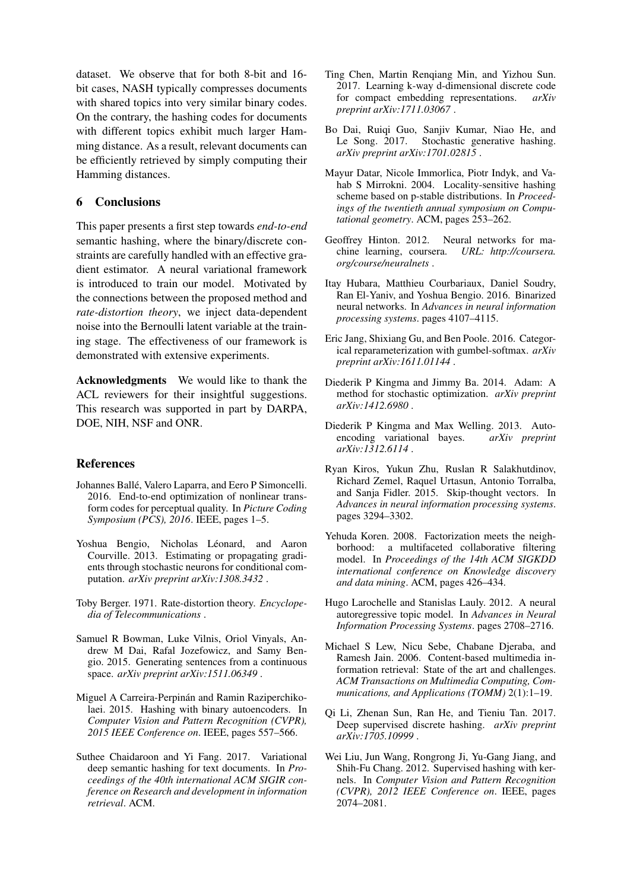dataset. We observe that for both 8-bit and 16 bit cases, NASH typically compresses documents with shared topics into very similar binary codes. On the contrary, the hashing codes for documents with different topics exhibit much larger Hamming distance. As a result, relevant documents can be efficiently retrieved by simply computing their Hamming distances.

# 6 Conclusions

This paper presents a first step towards *end-to-end* semantic hashing, where the binary/discrete constraints are carefully handled with an effective gradient estimator. A neural variational framework is introduced to train our model. Motivated by the connections between the proposed method and *rate-distortion theory*, we inject data-dependent noise into the Bernoulli latent variable at the training stage. The effectiveness of our framework is demonstrated with extensive experiments.

Acknowledgments We would like to thank the ACL reviewers for their insightful suggestions. This research was supported in part by DARPA, DOE, NIH, NSF and ONR.

#### References

- <span id="page-8-14"></span>Johannes Ballé, Valero Laparra, and Eero P Simoncelli. 2016. End-to-end optimization of nonlinear transform codes for perceptual quality. In *Picture Coding Symposium (PCS), 2016*. IEEE, pages 1–5.
- <span id="page-8-11"></span>Yoshua Bengio, Nicholas Léonard, and Aaron Courville. 2013. Estimating or propagating gradients through stochastic neurons for conditional computation. *arXiv preprint arXiv:1308.3432* .
- <span id="page-8-3"></span>Toby Berger. 1971. Rate-distortion theory. *Encyclopedia of Telecommunications* .
- <span id="page-8-8"></span>Samuel R Bowman, Luke Vilnis, Oriol Vinyals, Andrew M Dai, Rafal Jozefowicz, and Samy Bengio. 2015. Generating sentences from a continuous space. *arXiv preprint arXiv:1511.06349* .
- <span id="page-8-18"></span>Miguel A Carreira-Perpinán and Ramin Raziperchikolaei. 2015. Hashing with binary autoencoders. In *Computer Vision and Pattern Recognition (CVPR), 2015 IEEE Conference on*. IEEE, pages 557–566.
- <span id="page-8-2"></span>Suthee Chaidaroon and Yi Fang. 2017. Variational deep semantic hashing for text documents. In *Proceedings of the 40th international ACM SIGIR conference on Research and development in information retrieval*. ACM.
- <span id="page-8-7"></span>Ting Chen, Martin Renqiang Min, and Yizhou Sun. 2017. Learning k-way d-dimensional discrete code for compact embedding representations. *arXiv preprint arXiv:1711.03067* .
- <span id="page-8-13"></span>Bo Dai, Ruiqi Guo, Sanjiv Kumar, Niao He, and Le Song. 2017. Stochastic generative hashing. *arXiv preprint arXiv:1701.02815* .
- <span id="page-8-16"></span>Mayur Datar, Nicole Immorlica, Piotr Indyk, and Vahab S Mirrokni. 2004. Locality-sensitive hashing scheme based on p-stable distributions. In *Proceedings of the twentieth annual symposium on Computational geometry*. ACM, pages 253–262.
- <span id="page-8-10"></span>Geoffrey Hinton. 2012. Neural networks for machine learning, coursera. *URL: http://coursera. org/course/neuralnets* .
- <span id="page-8-12"></span>Itay Hubara, Matthieu Courbariaux, Daniel Soudry, Ran El-Yaniv, and Yoshua Bengio. 2016. Binarized neural networks. In *Advances in neural information processing systems*. pages 4107–4115.
- <span id="page-8-4"></span>Eric Jang, Shixiang Gu, and Ben Poole. 2016. Categorical reparameterization with gumbel-softmax. *arXiv preprint arXiv:1611.01144* .
- <span id="page-8-15"></span>Diederik P Kingma and Jimmy Ba. 2014. Adam: A method for stochastic optimization. *arXiv preprint arXiv:1412.6980* .
- <span id="page-8-9"></span>Diederik P Kingma and Max Welling. 2013. Autoencoding variational bayes. *arXiv preprint arXiv:1312.6114* .
- <span id="page-8-6"></span>Ryan Kiros, Yukun Zhu, Ruslan R Salakhutdinov, Richard Zemel, Raquel Urtasun, Antonio Torralba, and Sanja Fidler. 2015. Skip-thought vectors. In *Advances in neural information processing systems*. pages 3294–3302.
- <span id="page-8-0"></span>Yehuda Koren. 2008. Factorization meets the neighborhood: a multifaceted collaborative filtering model. In *Proceedings of the 14th ACM SIGKDD international conference on Knowledge discovery and data mining*. ACM, pages 426–434.
- <span id="page-8-19"></span>Hugo Larochelle and Stanislas Lauly. 2012. A neural autoregressive topic model. In *Advances in Neural Information Processing Systems*. pages 2708–2716.
- <span id="page-8-1"></span>Michael S Lew, Nicu Sebe, Chabane Djeraba, and Ramesh Jain. 2006. Content-based multimedia information retrieval: State of the art and challenges. *ACM Transactions on Multimedia Computing, Communications, and Applications (TOMM)* 2(1):1–19.
- <span id="page-8-5"></span>Qi Li, Zhenan Sun, Ran He, and Tieniu Tan. 2017. Deep supervised discrete hashing. *arXiv preprint arXiv:1705.10999* .
- <span id="page-8-17"></span>Wei Liu, Jun Wang, Rongrong Ji, Yu-Gang Jiang, and Shih-Fu Chang. 2012. Supervised hashing with kernels. In *Computer Vision and Pattern Recognition (CVPR), 2012 IEEE Conference on*. IEEE, pages 2074–2081.